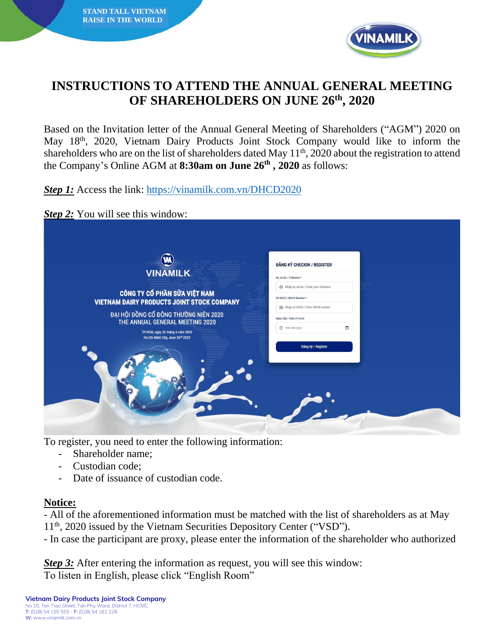



## **INSTRUCTIONS TO ATTEND THE ANNUAL GENERAL MEETING OF SHAREHOLDERS ON JUNE 26th , 2020**

Based on the Invitation letter of the Annual General Meeting of Shareholders ("AGM") 2020 on May 18th, 2020, Vietnam Dairy Products Joint Stock Company would like to inform the shareholders who are on the list of shareholders dated May 11<sup>th</sup>, 2020 about the registration to attend the Company's Online AGM at **8:30am on June 26th , 2020** as follows:

*Step 1:* Access the link:<https://vinamilk.com.vn/DHCD2020>

#### *Step 2:* You will see this window:

|                                                                          | ĐĂNG KÝ CHECKIN / REGISTER                  |
|--------------------------------------------------------------------------|---------------------------------------------|
| <b>VINAMILK.</b>                                                         | Ho và tên / Fullname *                      |
| CÔNG TY CỔ PHẦN SỮA VIỆT NAM                                             | A Nhập họ và tên / Enter your fullname      |
| <b>VIETNAM DAIRY PRODUCTS JOINT STOCK COMPANY</b>                        | Số DKHS / DKHS Number *                     |
|                                                                          | <b>III</b> Nhập số DKHS / Enter DKHS number |
| ĐẠI HỘI ĐỒNG CỔ ĐÔNG THƯỜNG NIÊN 2020<br>THE ANNUAL GENERAL MEETING 2020 | Ngày cấp / Date of issue                    |
| TP.HCM, ngày 26 tháng 6 năm 2020<br>Ho Chi Minh City, June 26th 2020     | <sup>益</sup> mm/dd/yyyy<br>$\Box$           |
|                                                                          | Đăng ký / Register                          |

To register, you need to enter the following information:

- Shareholder name;
- Custodian code;
- Date of issuance of custodian code.

### **Notice:**

- All of the aforementioned information must be matched with the list of shareholders as at May 11<sup>th</sup>, 2020 issued by the Vietnam Securities Depository Center ("VSD").

- In case the participant are proxy, please enter the information of the shareholder who authorized

*Step* 3: After entering the information as request, you will see this window: To listen in English, please click "English Room"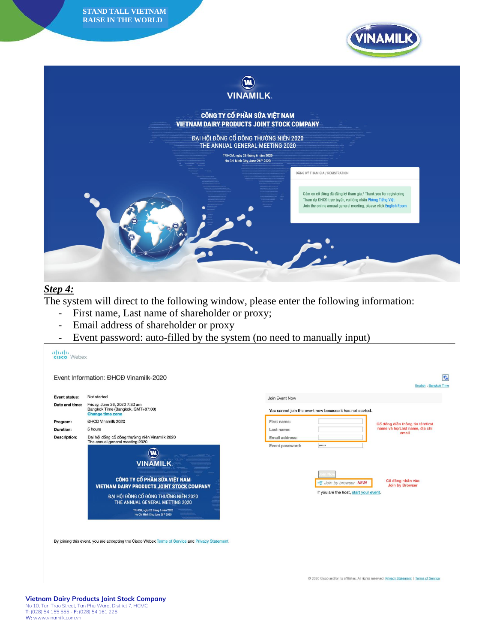**STAND TALL VIETNAM RAISE IN THE WORLD**



# (W) **VINAMILK** CÔNG TY CỔ PHẦN SỮA VIỆT NAM **VIETNAM DAIRY PRODUCTS JOINT STOCK COMPANY** ĐẠI HỘI ĐỒNG CỔ ĐÔNG THƯỜNG NIÊN 2020 THE ANNUAL GENERAL MEETING 2020 TP.HCM, ngày 26 tháng 6 năm 2020<br>Ho Chi Minh City, June 26<sup>th</sup> 2020 ĐĂNG KÝ THAM GIA / REGISTRATION Cảm ơn cổ đông đã đăng ký tham gia / Thank you for registering Tham dự ĐHCĐ trực tuyển, vui lòng nhấn Phòng Tiếng Việt Join the online annual general meeting, please click English Room

### *Step 4:*

The system will direct to the following window, please enter the following information:

- First name, Last name of shareholder or proxy;
- Email address of shareholder or proxy
- Event password: auto-filled by the system (no need to manually input)



By joining this event, you are accepting the Cisco Webex Terms of Service and Privacy Statement.